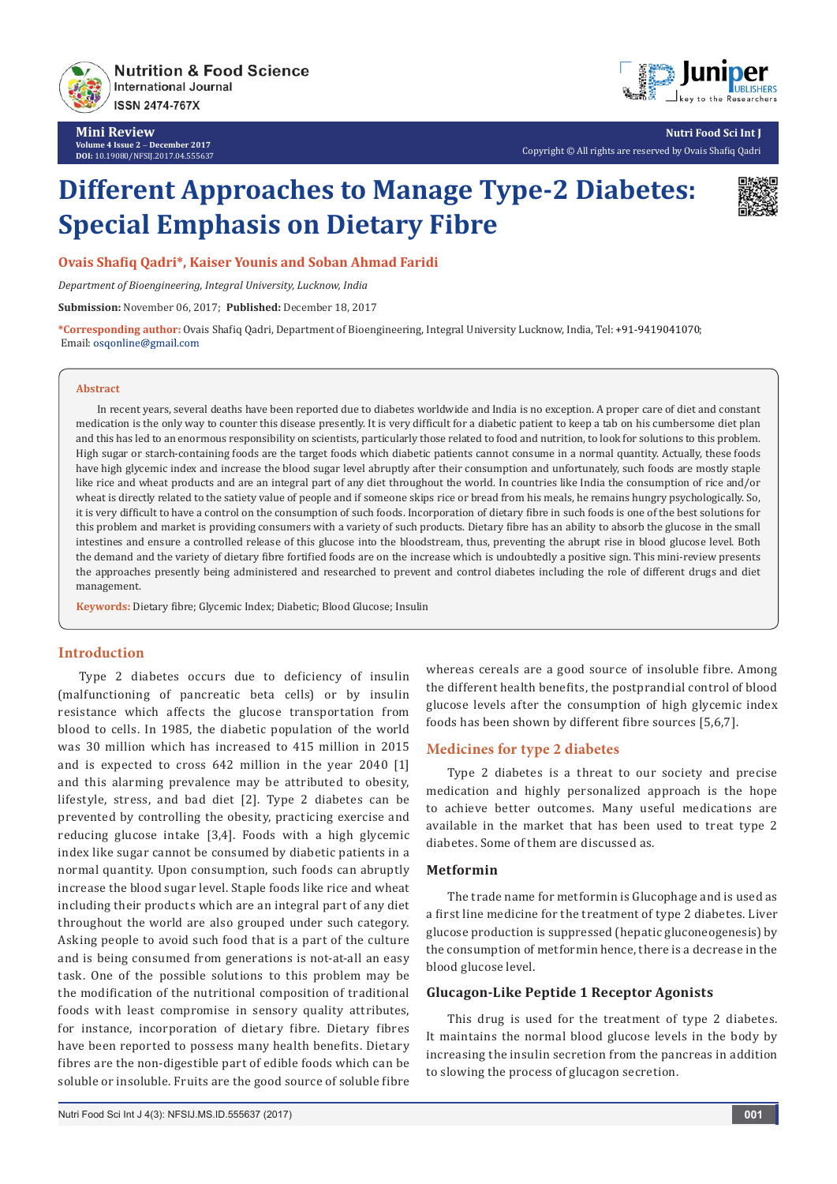

**Mini Review Volume 4 Issue 2** - **December 2017 DOI:** [10.19080/NFSIJ.2017.04.555637](http://dx.doi.org/10.19080/NFSIJ.2017.04.555637)



**Nutri Food Sci Int J** Copyright © All rights are reserved by Ovais Shafiq Qadri

# **Different Approaches to Manage Type-2 Diabetes: Special Emphasis on Dietary Fibre**



**Ovais Shafiq Qadri\*, Kaiser Younis and Soban Ahmad Faridi**

*Department of Bioengineering, Integral University, Lucknow, India*

**Submission:** November 06, 2017; **Published:** December 18, 2017

**\*Corresponding author:** Ovais Shafiq Qadri, Department of Bioengineering, Integral University Lucknow, India, Tel: ; Email: osqonline@gmail.com

#### **Abstract**

In recent years, several deaths have been reported due to diabetes worldwide and India is no exception. A proper care of diet and constant medication is the only way to counter this disease presently. It is very difficult for a diabetic patient to keep a tab on his cumbersome diet plan and this has led to an enormous responsibility on scientists, particularly those related to food and nutrition, to look for solutions to this problem. High sugar or starch-containing foods are the target foods which diabetic patients cannot consume in a normal quantity. Actually, these foods have high glycemic index and increase the blood sugar level abruptly after their consumption and unfortunately, such foods are mostly staple like rice and wheat products and are an integral part of any diet throughout the world. In countries like India the consumption of rice and/or wheat is directly related to the satiety value of people and if someone skips rice or bread from his meals, he remains hungry psychologically. So, it is very difficult to have a control on the consumption of such foods. Incorporation of dietary fibre in such foods is one of the best solutions for this problem and market is providing consumers with a variety of such products. Dietary fibre has an ability to absorb the glucose in the small intestines and ensure a controlled release of this glucose into the bloodstream, thus, preventing the abrupt rise in blood glucose level. Both the demand and the variety of dietary fibre fortified foods are on the increase which is undoubtedly a positive sign. This mini-review presents the approaches presently being administered and researched to prevent and control diabetes including the role of different drugs and diet management.

**Keywords:** Dietary fibre; Glycemic Index; Diabetic; Blood Glucose; Insulin

## **Introduction**

Type 2 diabetes occurs due to deficiency of insulin (malfunctioning of pancreatic beta cells) or by insulin resistance which affects the glucose transportation from blood to cells. In 1985, the diabetic population of the world was 30 million which has increased to 415 million in 2015 and is expected to cross 642 million in the year 2040 [1] and this alarming prevalence may be attributed to obesity, lifestyle, stress, and bad diet [2]. Type 2 diabetes can be prevented by controlling the obesity, practicing exercise and reducing glucose intake [3,4]. Foods with a high glycemic index like sugar cannot be consumed by diabetic patients in a normal quantity. Upon consumption, such foods can abruptly increase the blood sugar level. Staple foods like rice and wheat including their products which are an integral part of any diet throughout the world are also grouped under such category. Asking people to avoid such food that is a part of the culture and is being consumed from generations is not-at-all an easy task. One of the possible solutions to this problem may be the modification of the nutritional composition of traditional foods with least compromise in sensory quality attributes, for instance, incorporation of dietary fibre. Dietary fibres have been reported to possess many health benefits. Dietary fibres are the non-digestible part of edible foods which can be soluble or insoluble. Fruits are the good source of soluble fibre

whereas cereals are a good source of insoluble fibre. Among the different health benefits, the postprandial control of blood glucose levels after the consumption of high glycemic index foods has been shown by different fibre sources [5,6,7].

#### **Medicines for type 2 diabetes**

Type 2 diabetes is a threat to our society and precise medication and highly personalized approach is the hope to achieve better outcomes. Many useful medications are available in the market that has been used to treat type 2 diabetes. Some of them are discussed as.

#### **Metformin**

The trade name for metformin is Glucophage and is used as a first line medicine for the treatment of type 2 diabetes. Liver glucose production is suppressed (hepatic gluconeogenesis) by the consumption of metformin hence, there is a decrease in the blood glucose level.

#### **Glucagon-Like Peptide 1 Receptor Agonists**

This drug is used for the treatment of type 2 diabetes. It maintains the normal blood glucose levels in the body by increasing the insulin secretion from the pancreas in addition to slowing the process of glucagon secretion.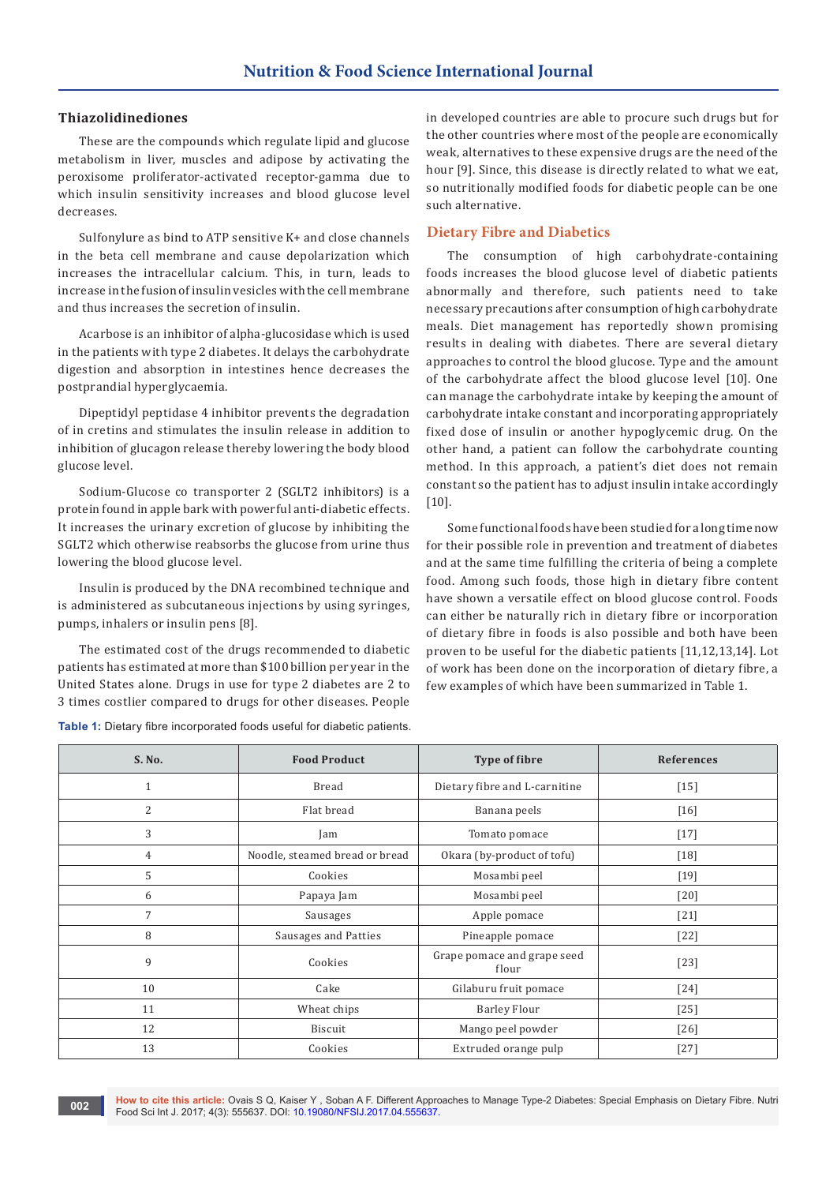#### **Thiazolidinediones**

These are the compounds which regulate lipid and glucose metabolism in liver, muscles and adipose by activating the peroxisome proliferator-activated receptor-gamma due to which insulin sensitivity increases and blood glucose level decreases.

Sulfonylure as bind to ATP sensitive K+ and close channels in the beta cell membrane and cause depolarization which increases the intracellular calcium. This, in turn, leads to increase in the fusion of insulin vesicles with the cell membrane and thus increases the secretion of insulin.

Acarbose is an inhibitor of alpha-glucosidase which is used in the patients with type 2 diabetes. It delays the carbohydrate digestion and absorption in intestines hence decreases the postprandial hyperglycaemia.

Dipeptidyl peptidase 4 inhibitor prevents the degradation of in cretins and stimulates the insulin release in addition to inhibition of glucagon release thereby lowering the body blood glucose level.

Sodium-Glucose co transporter 2 (SGLT2 inhibitors) is a protein found in apple bark with powerful anti-diabetic effects. It increases the urinary excretion of glucose by inhibiting the SGLT2 which otherwise reabsorbs the glucose from urine thus lowering the blood glucose level.

Insulin is produced by the DNA recombined technique and is administered as subcutaneous injections by using syringes, pumps, inhalers or insulin pens [8].

The estimated cost of the drugs recommended to diabetic patients has estimated at more than \$100 billion per year in the United States alone. Drugs in use for type 2 diabetes are 2 to 3 times costlier compared to drugs for other diseases. People

**Table 1:** Dietary fibre incorporated foods useful for diabetic patients.

in developed countries are able to procure such drugs but for the other countries where most of the people are economically weak, alternatives to these expensive drugs are the need of the hour [9]. Since, this disease is directly related to what we eat, so nutritionally modified foods for diabetic people can be one such alternative.

#### **Dietary Fibre and Diabetics**

The consumption of high carbohydrate-containing foods increases the blood glucose level of diabetic patients abnormally and therefore, such patients need to take necessary precautions after consumption of high carbohydrate meals. Diet management has reportedly shown promising results in dealing with diabetes. There are several dietary approaches to control the blood glucose. Type and the amount of the carbohydrate affect the blood glucose level [10]. One can manage the carbohydrate intake by keeping the amount of carbohydrate intake constant and incorporating appropriately fixed dose of insulin or another hypoglycemic drug. On the other hand, a patient can follow the carbohydrate counting method. In this approach, a patient's diet does not remain constant so the patient has to adjust insulin intake accordingly [10].

Some functional foods have been studied for a long time now for their possible role in prevention and treatment of diabetes and at the same time fulfilling the criteria of being a complete food. Among such foods, those high in dietary fibre content have shown a versatile effect on blood glucose control. Foods can either be naturally rich in dietary fibre or incorporation of dietary fibre in foods is also possible and both have been proven to be useful for the diabetic patients [11,12,13,14]. Lot of work has been done on the incorporation of dietary fibre, a few examples of which have been summarized in Table 1.

| S. No.         | <b>Food Product</b>            | <b>Type of fibre</b>                 | <b>References</b> |
|----------------|--------------------------------|--------------------------------------|-------------------|
| $\mathbf{1}$   | Bread                          | Dietary fibre and L-carnitine        | $[15]$            |
| $\overline{2}$ | Flat bread                     | Banana peels                         | $[16]$            |
| 3              | Jam                            | Tomato pomace                        | $[17]$            |
| 4              | Noodle, steamed bread or bread | Okara (by-product of tofu)           | $[18]$            |
| 5              | Cookies                        | Mosambi peel                         | $[19]$            |
| 6              | Papaya Jam                     | Mosambi peel                         | $[20]$            |
| 7              | Sausages                       | Apple pomace                         | $[21]$            |
| 8              | Sausages and Patties           | Pineapple pomace                     | $[22]$            |
| 9              | Cookies                        | Grape pomace and grape seed<br>flour | $[23]$            |
| 10             | Cake                           | Gilaburu fruit pomace                | $[24]$            |
| 11             | Wheat chips                    | <b>Barley Flour</b>                  | $[25]$            |
| 12             | Biscuit                        | Mango peel powder                    | $[26]$            |
| 13             | Cookies                        | Extruded orange pulp                 | $[27]$            |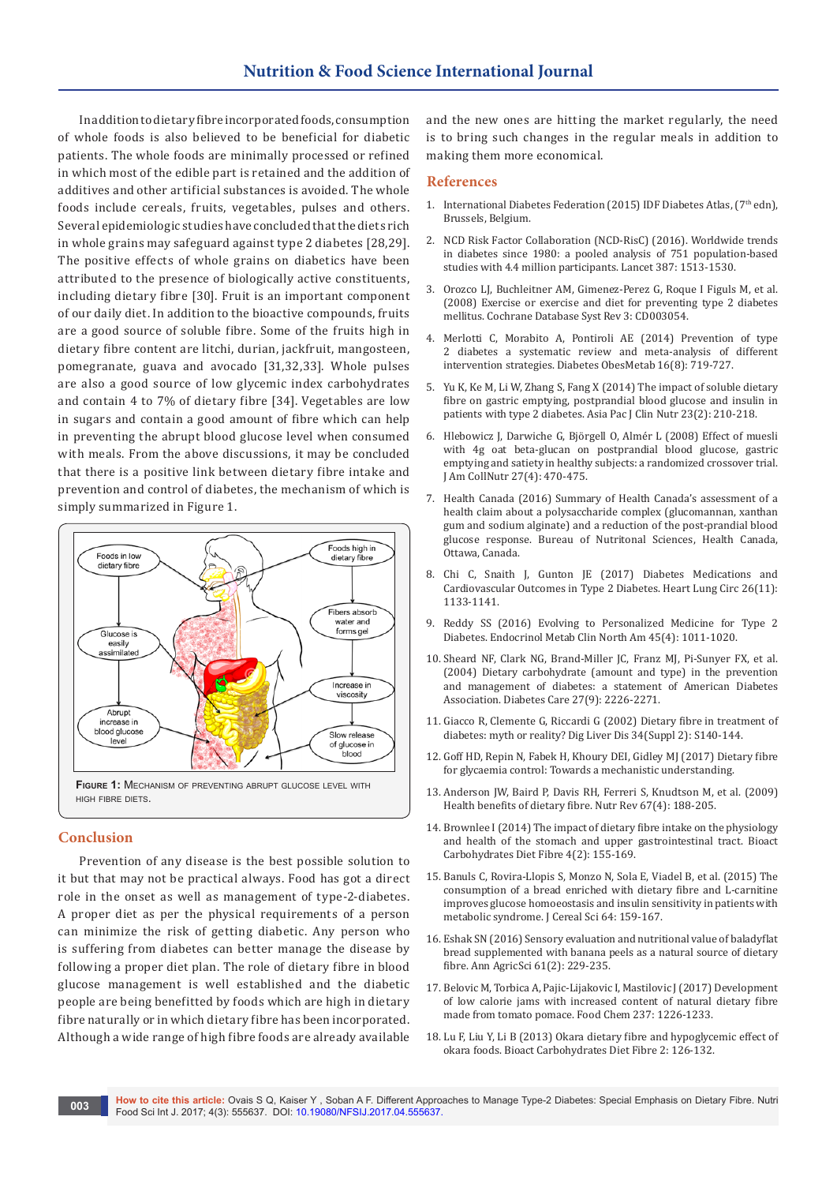# **Nutrition & Food Science International Journal**

In addition to dietary fibre incorporated foods, consumption of whole foods is also believed to be beneficial for diabetic patients. The whole foods are minimally processed or refined in which most of the edible part is retained and the addition of additives and other artificial substances is avoided. The whole foods include cereals, fruits, vegetables, pulses and others. Several epidemiologic studies have concluded that the diets rich in whole grains may safeguard against type 2 diabetes [28,29]. The positive effects of whole grains on diabetics have been attributed to the presence of biologically active constituents, including dietary fibre [30]. Fruit is an important component of our daily diet. In addition to the bioactive compounds, fruits are a good source of soluble fibre. Some of the fruits high in dietary fibre content are litchi, durian, jackfruit, mangosteen, pomegranate, guava and avocado [31,32,33]. Whole pulses are also a good source of low glycemic index carbohydrates and contain 4 to 7% of dietary fibre [34]. Vegetables are low in sugars and contain a good amount of fibre which can help in preventing the abrupt blood glucose level when consumed with meals. From the above discussions, it may be concluded that there is a positive link between dietary fibre intake and prevention and control of diabetes, the mechanism of which is simply summarized in Figure 1.



#### **Conclusion**

Prevention of any disease is the best possible solution to it but that may not be practical always. Food has got a direct role in the onset as well as management of type-2-diabetes. A proper diet as per the physical requirements of a person can minimize the risk of getting diabetic. Any person who is suffering from diabetes can better manage the disease by following a proper diet plan. The role of dietary fibre in blood glucose management is well established and the diabetic people are being benefitted by foods which are high in dietary fibre naturally or in which dietary fibre has been incorporated. Although a wide range of high fibre foods are already available and the new ones are hitting the market regularly, the need is to bring such changes in the regular meals in addition to making them more economical.

#### **References**

- 1. International Diabetes Federation (2015) IDF Diabetes Atlas, (7<sup>th</sup> edn), Brussels, Belgium.
- 2. NCD Risk Factor Collaboration (NCD-RisC) (2016). Worldwide trends in diabetes since 1980: a pooled analysis of 751 population-based studies with 4.4 million participants. Lancet 387: 1513-1530.
- 3. [Orozco LJ, Buchleitner AM, Gimenez-Perez G, Roque I Figuls M, et al.](https://www.ncbi.nlm.nih.gov/pubmed/18646086)  [\(2008\) Exercise or exercise and diet for preventing type 2 diabetes](https://www.ncbi.nlm.nih.gov/pubmed/18646086)  [mellitus. Cochrane Database Syst Rev 3: CD003054.](https://www.ncbi.nlm.nih.gov/pubmed/18646086)
- 4. [Merlotti C, Morabito A, Pontiroli AE \(2014\) Prevention of type](https://www.ncbi.nlm.nih.gov/pubmed/24476122)  [2 diabetes a systematic review and meta-analysis of different](https://www.ncbi.nlm.nih.gov/pubmed/24476122)  [intervention strategies. Diabetes ObesMetab 16\(8\): 719-727.](https://www.ncbi.nlm.nih.gov/pubmed/24476122)
- 5. [Yu K, Ke M, Li W, Zhang S, Fang X \(2014\) The impact of soluble dietary](https://www.ncbi.nlm.nih.gov/pubmed/24901089)  [fibre on gastric emptying, postprandial blood glucose and insulin in](https://www.ncbi.nlm.nih.gov/pubmed/24901089)  [patients with type 2 diabetes. Asia Pac J Clin Nutr 23\(2\): 210-218.](https://www.ncbi.nlm.nih.gov/pubmed/24901089)
- 6. [Hlebowicz J, Darwiche G, Björgell O, Almér L \(2008\) Effect of muesli](https://www.ncbi.nlm.nih.gov/pubmed/18978166)  [with 4g oat beta-glucan on postprandial blood glucose, gastric](https://www.ncbi.nlm.nih.gov/pubmed/18978166)  [emptying and satiety in healthy subjects: a randomized crossover trial.](https://www.ncbi.nlm.nih.gov/pubmed/18978166)  [J Am CollNutr 27\(4\): 470-475.](https://www.ncbi.nlm.nih.gov/pubmed/18978166)
- 7. Health Canada (2016) Summary of Health Canada's assessment of a health claim about a polysaccharide complex (glucomannan, xanthan gum and sodium alginate) and a reduction of the post-prandial blood glucose response. Bureau of Nutritonal Sciences, Health Canada, Ottawa, Canada.
- 8. [Chi C, Snaith J, Gunton JE \(2017\) Diabetes Medications and](http://www.heartlungcirc.org/article/S1443-9506(17)30291-3/fulltext)  [Cardiovascular Outcomes in Type 2 Diabetes. Heart Lung Circ 26\(11\):](http://www.heartlungcirc.org/article/S1443-9506(17)30291-3/fulltext)  [1133-1141.](http://www.heartlungcirc.org/article/S1443-9506(17)30291-3/fulltext)
- 9. [Reddy SS \(2016\) Evolving to Personalized Medicine for Type 2](https://www.ncbi.nlm.nih.gov/pubmed/27823602)  [Diabetes. Endocrinol Metab Clin North Am 45\(4\): 1011-1020.](https://www.ncbi.nlm.nih.gov/pubmed/27823602)
- 10. [Sheard NF, Clark NG, Brand-Miller JC, Franz MJ, Pi-Sunyer FX, et al.](https://www.ncbi.nlm.nih.gov/pubmed/15333500)  [\(2004\) Dietary carbohydrate \(amount and type\) in the prevention](https://www.ncbi.nlm.nih.gov/pubmed/15333500)  [and management of diabetes: a statement of American Diabetes](https://www.ncbi.nlm.nih.gov/pubmed/15333500)  [Association. Diabetes Care 27\(9\): 2226-2271.](https://www.ncbi.nlm.nih.gov/pubmed/15333500)
- 11. [Giacco R, Clemente G, Riccardi G \(2002\) Dietary fibre in treatment of](https://www.ncbi.nlm.nih.gov/pubmed/12408458)  [diabetes: myth or reality? Dig Liver Dis 34\(Suppl 2\): S140-144.](https://www.ncbi.nlm.nih.gov/pubmed/12408458)
- 12. Goff HD, Repin N, Fabek H, Khoury DEI, Gidley MJ (2017) Dietary fibre for glycaemia control: Towards a mechanistic understanding.
- 13. [Anderson JW, Baird P, Davis RH, Ferreri S, Knudtson M, et al. \(2009\)](https://www.ncbi.nlm.nih.gov/pubmed/19335713)  [Health benefits of dietary fibre. Nutr Rev 67\(4\): 188-205.](https://www.ncbi.nlm.nih.gov/pubmed/19335713)
- 14. [Brownlee I \(2014\) The impact of dietary fibre intake on the physiology](http://eprint.ncl.ac.uk/pub_details2.aspx?pub_id=207855)  [and health of the stomach and upper gastrointestinal tract. Bioact](http://eprint.ncl.ac.uk/pub_details2.aspx?pub_id=207855)  [Carbohydrates Diet Fibre 4\(2\): 155-169.](http://eprint.ncl.ac.uk/pub_details2.aspx?pub_id=207855)
- 15. Banuls C, Rovira-Llopis S, Monzo N, Sola E, Viadel B, et al. (2015) The consumption of a bread enriched with dietary fibre and L-carnitine improves glucose homoeostasis and insulin sensitivity in patients with metabolic syndrome. J Cereal Sci 64: 159-167.
- 16. [Eshak SN \(2016\) Sensory evaluation and nutritional value of baladyflat](https://www.scribd.com/document/333896310/Banana-Peel-as-Dietary-Fiber)  [bread supplemented with banana peels as a natural source of dietary](https://www.scribd.com/document/333896310/Banana-Peel-as-Dietary-Fiber)  [fibre. Ann AgricSci 61\(2\): 229-235.](https://www.scribd.com/document/333896310/Banana-Peel-as-Dietary-Fiber)
- 17. [Belovic M, Torbica A, Pajic-Lijakovic I, Mastilovic J \(2017\) Development](https://www.ncbi.nlm.nih.gov/pubmed/28763974)  [of low calorie jams with increased content of natural dietary fibre](https://www.ncbi.nlm.nih.gov/pubmed/28763974)  [made from tomato pomace. Food Chem 237: 1226-1233.](https://www.ncbi.nlm.nih.gov/pubmed/28763974)
- 18. [Lu F, Liu Y, Li B \(2013\) Okara dietary fibre and hypoglycemic effect of](https://pubag.nal.usda.gov/catalog/5359622)  [okara foods. Bioact Carbohydrates Diet Fibre 2: 126-132.](https://pubag.nal.usda.gov/catalog/5359622)